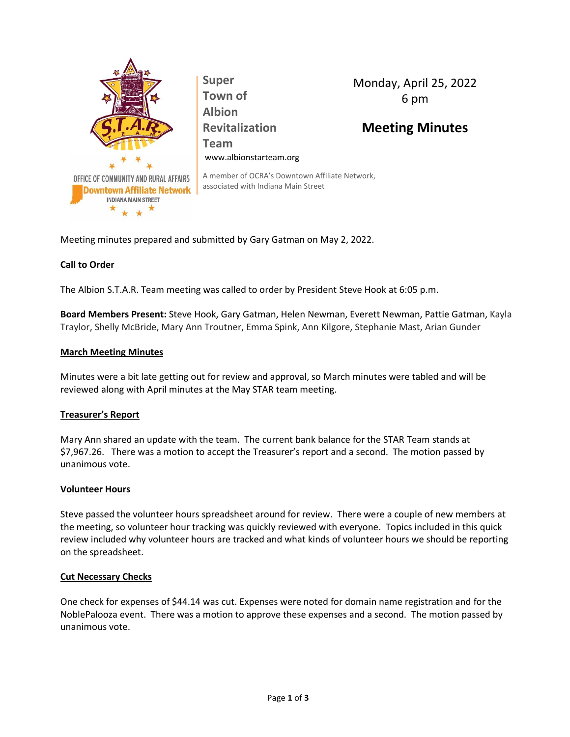

**Super Town of Albion Revitalization Team** www.albionstarteam.org Monday, April 25, 2022 6 pm

# **Meeting Minutes**

A member of OCRA's Downtown Affiliate Network, associated with Indiana Main Street

Meeting minutes prepared and submitted by Gary Gatman on May 2, 2022.

# **Call to Order**

The Albion S.T.A.R. Team meeting was called to order by President Steve Hook at 6:05 p.m.

**Board Members Present:** Steve Hook, Gary Gatman, Helen Newman, Everett Newman, Pattie Gatman, Kayla Traylor, Shelly McBride, Mary Ann Troutner, Emma Spink, Ann Kilgore, Stephanie Mast, Arian Gunder

## **March Meeting Minutes**

Minutes were a bit late getting out for review and approval, so March minutes were tabled and will be reviewed along with April minutes at the May STAR team meeting.

## **Treasurer's Report**

Mary Ann shared an update with the team. The current bank balance for the STAR Team stands at \$7,967.26. There was a motion to accept the Treasurer's report and a second. The motion passed by unanimous vote.

## **Volunteer Hours**

Steve passed the volunteer hours spreadsheet around for review. There were a couple of new members at the meeting, so volunteer hour tracking was quickly reviewed with everyone. Topics included in this quick review included why volunteer hours are tracked and what kinds of volunteer hours we should be reporting on the spreadsheet.

## **Cut Necessary Checks**

One check for expenses of \$44.14 was cut. Expenses were noted for domain name registration and for the NoblePalooza event. There was a motion to approve these expenses and a second. The motion passed by unanimous vote.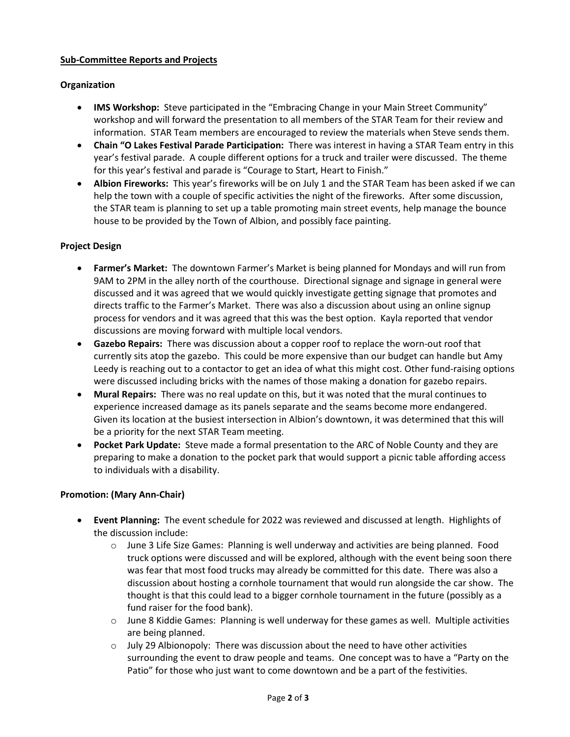## **Sub-Committee Reports and Projects**

# **Organization**

- **IMS Workshop:** Steve participated in the "Embracing Change in your Main Street Community" workshop and will forward the presentation to all members of the STAR Team for their review and information. STAR Team members are encouraged to review the materials when Steve sends them.
- **Chain "O Lakes Festival Parade Participation:** There was interest in having a STAR Team entry in this year's festival parade. A couple different options for a truck and trailer were discussed. The theme for this year's festival and parade is "Courage to Start, Heart to Finish."
- **Albion Fireworks:** This year's fireworks will be on July 1 and the STAR Team has been asked if we can help the town with a couple of specific activities the night of the fireworks. After some discussion, the STAR team is planning to set up a table promoting main street events, help manage the bounce house to be provided by the Town of Albion, and possibly face painting.

## **Project Design**

- **Farmer's Market:** The downtown Farmer's Market is being planned for Mondays and will run from 9AM to 2PM in the alley north of the courthouse. Directional signage and signage in general were discussed and it was agreed that we would quickly investigate getting signage that promotes and directs traffic to the Farmer's Market. There was also a discussion about using an online signup process for vendors and it was agreed that this was the best option. Kayla reported that vendor discussions are moving forward with multiple local vendors.
- **Gazebo Repairs:** There was discussion about a copper roof to replace the worn-out roof that currently sits atop the gazebo. This could be more expensive than our budget can handle but Amy Leedy is reaching out to a contactor to get an idea of what this might cost. Other fund-raising options were discussed including bricks with the names of those making a donation for gazebo repairs.
- **Mural Repairs:** There was no real update on this, but it was noted that the mural continues to experience increased damage as its panels separate and the seams become more endangered. Given its location at the busiest intersection in Albion's downtown, it was determined that this will be a priority for the next STAR Team meeting.
- **Pocket Park Update:** Steve made a formal presentation to the ARC of Noble County and they are preparing to make a donation to the pocket park that would support a picnic table affording access to individuals with a disability.

# **Promotion: (Mary Ann-Chair)**

- **Event Planning:** The event schedule for 2022 was reviewed and discussed at length. Highlights of the discussion include:
	- $\circ$  June 3 Life Size Games: Planning is well underway and activities are being planned. Food truck options were discussed and will be explored, although with the event being soon there was fear that most food trucks may already be committed for this date. There was also a discussion about hosting a cornhole tournament that would run alongside the car show. The thought is that this could lead to a bigger cornhole tournament in the future (possibly as a fund raiser for the food bank).
	- $\circ$  June 8 Kiddie Games: Planning is well underway for these games as well. Multiple activities are being planned.
	- $\circ$  July 29 Albionopoly: There was discussion about the need to have other activities surrounding the event to draw people and teams. One concept was to have a "Party on the Patio" for those who just want to come downtown and be a part of the festivities.